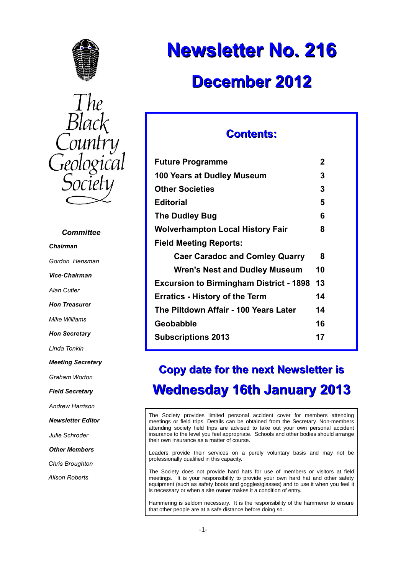



### *Committee*

*Chairman*

*Gordon Hensman*

*Vice-Chairman*

*Alan Cutler*

*Hon Treasurer*

*Mike Williams*

*Hon Secretary*

*Linda Tonkin*

*Meeting Secretary*

*Graham Worton*

*Field Secretary*

*Andrew Harrison*

*Newsletter Editor*

*Julie Schroder*

*Other Members*

*Chris Broughton*

*Alison Roberts*

# **Newsletter No. 216 December 2012**

# **Contents:**

| <b>Future Programme</b>                        | 2  |
|------------------------------------------------|----|
| 100 Years at Dudley Museum                     | 3  |
| <b>Other Societies</b>                         | 3  |
| <b>Editorial</b>                               | 5  |
| <b>The Dudley Bug</b>                          | 6  |
| <b>Wolverhampton Local History Fair</b>        | 8  |
| <b>Field Meeting Reports:</b>                  |    |
| <b>Caer Caradoc and Comley Quarry</b>          | 8  |
| Wren's Nest and Dudley Museum                  | 10 |
| <b>Excursion to Birmingham District - 1898</b> | 13 |
| <b>Erratics - History of the Term</b>          | 14 |
| The Piltdown Affair - 100 Years Later          | 14 |
| <b>Geobabble</b>                               | 16 |
| <b>Subscriptions 2013</b>                      | 17 |
|                                                |    |

# **Copy date for the next Newsletter is Wednesday 16th January 2013**

The Society provides limited personal accident cover for members attending meetings or field trips. Details can be obtained from the Secretary. Non-members attending society field trips are advised to take out your own personal accident insurance to the level you feel appropriate. Schools and other bodies should arrange their own insurance as a matter of course.

Leaders provide their services on a purely voluntary basis and may not be professionally qualified in this capacity.

The Society does not provide hard hats for use of members or visitors at field meetings. It is your responsibility to provide your own hard hat and other safety equipment (such as safety boots and goggles/glasses) and to use it when you feel it is necessary or when a site owner makes it a condition of entry.

Hammering is seldom necessary. It is the responsibility of the hammerer to ensure that other people are at a safe distance before doing so.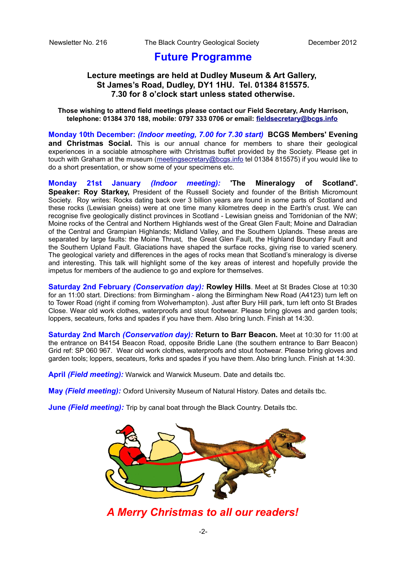# **Future Programme**

### **Lecture meetings are held at Dudley Museum & Art Gallery, St James's Road, Dudley, DY1 1HU. Tel. 01384 815575. 7.30 for 8 o'clock start unless stated otherwise.**

### **Those wishing to attend field meetings please contact our Field Secretary, Andy Harrison, telephone: 01384 370 188, mobile: 0797 333 0706 or email: [fieldsecretary@bcgs.info](mailto:fieldsecretary@bcgs.info)**

**Monday 10th December:** *(Indoor meeting, 7.00 for 7.30 start)* **BCGS Members' Evening and Christmas Social.** This is our annual chance for members to share their geological experiences in a sociable atmosphere with Christmas buffet provided by the Society. Please get in touch with Graham at the museum [\(meetingsecretary@bcgs.info](mailto:meetingsecretary@bcgs.info) tel 01384 815575) if you would like to do a short presentation, or show some of your specimens etc.

**Monday 21st January** *(Indoor meeting):* **'The Mineralogy of Scotland'.** Speaker: Roy Starkey, President of the Russell Society and founder of the British Micromount Society. Roy writes: Rocks dating back over 3 billion years are found in some parts of Scotland and these rocks (Lewisian gneiss) were at one time many kilometres deep in the Earth's crust. We can recognise five geologically distinct provinces in Scotland - Lewisian gneiss and Torridonian of the NW; Moine rocks of the Central and Northern Highlands west of the Great Glen Fault; Moine and Dalradian of the Central and Grampian Highlands; Midland Valley, and the Southern Uplands. These areas are separated by large faults: the Moine Thrust, the Great Glen Fault, the Highland Boundary Fault and the Southern Upland Fault. Glaciations have shaped the surface rocks, giving rise to varied scenery. The geological variety and differences in the ages of rocks mean that Scotland's mineralogy is diverse and interesting. This talk will highlight some of the key areas of interest and hopefully provide the impetus for members of the audience to go and explore for themselves.

**Saturday 2nd February** *(Conservation day):* **Rowley Hills**. Meet at St Brades Close at 10:30 for an 11:00 start. Directions: from Birmingham - along the Birmingham New Road (A4123) turn left on to Tower Road (right if coming from Wolverhampton). Just after Bury Hill park, turn left onto St Brades Close. Wear old work clothes, waterproofs and stout footwear. Please bring gloves and garden tools; loppers, secateurs, forks and spades if you have them. Also bring lunch. Finish at 14:30.

**Saturday 2nd March** *(Conservation day):* **Return to Barr Beacon.** Meet at 10:30 for 11:00 at the entrance on B4154 Beacon Road, opposite Bridle Lane (the southern entrance to Barr Beacon) Grid ref: SP 060 967. Wear old work clothes, waterproofs and stout footwear. Please bring gloves and garden tools; loppers, secateurs, forks and spades if you have them. Also bring lunch. Finish at 14:30.

**April** *(Field meeting):* Warwick and Warwick Museum. Date and details tbc.

**May** *(Field meeting):* Oxford University Museum of Natural History. Dates and details tbc.

**June** *(Field meeting):* Trip by canal boat through the Black Country. Details tbc.



*A Merry Christmas to all our readers!*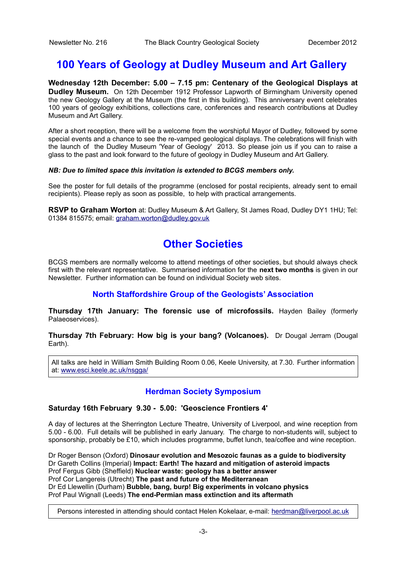# **100 Years of Geology at Dudley Museum and Art Gallery**

**Wednesday 12th December: 5.00 – 7.15 pm: Centenary of the Geological Displays at Dudley Museum.** On 12th December 1912 Professor Lapworth of Birmingham University opened the new Geology Gallery at the Museum (the first in this building). This anniversary event celebrates 100 years of geology exhibitions, collections care, conferences and research contributions at Dudley Museum and Art Gallery.

After a short reception, there will be a welcome from the worshipful Mayor of Dudley, followed by some special events and a chance to see the re-vamped geological displays. The celebrations will finish with the launch of the Dudley Museum 'Year of Geology' 2013. So please join us if you can to raise a glass to the past and look forward to the future of geology in Dudley Museum and Art Gallery.

### *NB: Due to limited space this invitation is extended to BCGS members only.*

See the poster for full details of the programme (enclosed for postal recipients, already sent to email recipients). Please reply as soon as possible, to help with practical arrangements.

**RSVP to Graham Worton** at: Dudley Museum & Art Gallery, St James Road, Dudley DY1 1HU; Tel: 01384 815575; email: [graham.worton@dudley.gov.uk](mailto:graham.worton@dudley.gov.uk)

# **Other Societies**

BCGS members are normally welcome to attend meetings of other societies, but should always check first with the relevant representative. Summarised information for the **next two months** is given in our Newsletter. Further information can be found on individual Society web sites.

### **North Staffordshire Group of the Geologists' Association**

**Thursday 17th January: The forensic use of microfossils.** Hayden Bailey (formerly Palaeoservices).

**Thursday 7th February: How big is your bang? (Volcanoes).** Dr Dougal Jerram (Dougal Earth).

All talks are held in William Smith Building Room 0.06, Keele University, at 7.30. Further information at: [www.esci.keele.ac.uk/nsgga/](http://www.esci.keele.ac.uk/nsgga/)

### **Herdman Society Symposium**

### **Saturday 16th February 9.30 - 5.00: 'Geoscience Frontiers 4'**

A day of lectures at the Sherrington Lecture Theatre, University of Liverpool, and wine reception from 5.00 - 6.00. Full details will be published in early January. The charge to non-students will, subject to sponsorship, probably be £10, which includes programme, buffet lunch, tea/coffee and wine reception.

Dr Roger Benson (Oxford) **Dinosaur evolution and Mesozoic faunas as a guide to biodiversity** Dr Gareth Collins (Imperial) **Impact: Earth! The hazard and mitigation of asteroid impacts** Prof Fergus Gibb (Sheffield) **Nuclear waste: geology has a better answer** Prof Cor Langereis (Utrecht) **The past and future of the Mediterranean** Dr Ed Llewellin (Durham) **Bubble, bang, burp! Big experiments in volcano physics** Prof Paul Wignall (Leeds) **The end-Permian mass extinction and its aftermath**

Persons interested in attending should contact Helen Kokelaar, e-mail: [herdman@liverpool.ac.uk](mailto:herdman@liverpool.ac.uk)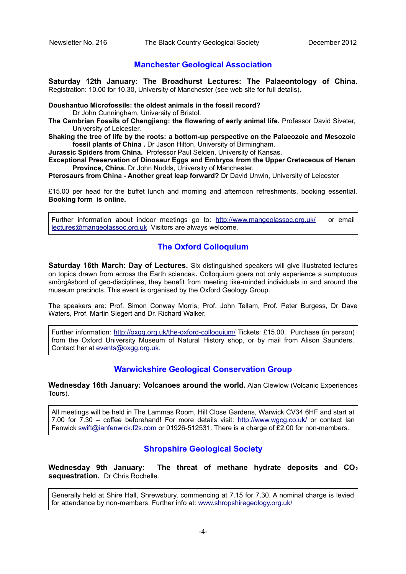### **Manchester Geological Association**

**Saturday 12th January: The Broadhurst Lectures: The Palaeontology of China.** Registration: 10.00 for 10.30, University of Manchester (see web site for full details).

### **Doushantuo Microfossils: the oldest animals in the fossil record?**

Dr John Cunningham, University of Bristol.

- **The Cambrian Fossils of Chengjiang: the flowering of early animal life.** Professor David Siveter, University of Leicester.
- **Shaking the tree of life by the roots: a bottom-up perspective on the Palaeozoic and Mesozoic fossil plants of China .** Dr Jason Hilton, University of Birmingham.

**Jurassic Spiders from China.** Professor Paul Selden, University of Kansas.

**Exceptional Preservation of Dinosaur Eggs and Embryos from the Upper Cretaceous of Henan Province, China.** Dr John Nudds, University of Manchester.

**Pterosaurs from China - Another great leap forward?** Dr David Unwin, University of Leicester

£15.00 per head for the buffet lunch and morning and afternoon refreshments, booking essential. **Booking form is online.**

Further information about indoor meetings go to:<http://www.mangeolassoc.org.uk/>or email [lectures@mangeolassoc.org.uk](mailto:lectures@mangeolassoc.org.uk) Visitors are always welcome.

## **The Oxford Colloquium**

**Saturday 16th March: Day of Lectures.** Six distinguished speakers will give illustrated lectures on topics drawn from across the Earth sciences**.** Colloquium goers not only experience a sumptuous smörgåsbord of geo-disciplines, they benefit from meeting like-minded individuals in and around the museum precincts. This event is organised by the Oxford Geology Group.

The speakers are: Prof. Simon Conway Morris, Prof. John Tellam, Prof. Peter Burgess, Dr Dave Waters, Prof. Martin Siegert and Dr. Richard Walker.

Further information:<http://oxgg.org.uk/the-oxford-colloquium/>Tickets: £15.00. Purchase (in person) from the Oxford University Museum of Natural History shop, or by mail from Alison Saunders. Contact her at [events@oxgg.org.uk.](mailto:events@oxgg.org.uk)

### **Warwickshire Geological Conservation Group**

**Wednesday 16th January: Volcanoes around the world.** Alan Clewlow (Volcanic Experiences Tours).

All meetings will be held in The Lammas Room, Hill Close Gardens, Warwick CV34 6HF and start at 7.00 for 7.30 – coffee beforehand! For more details visit:<http://www.wgcg.co.uk/>or contact Ian Fenwick [swift@ianfenwick.f2s.com](mailto:swift@ianfenwick.f2s.com) or 01926-512531. There is a charge of £2.00 for non-members.

### **Shropshire Geological Society**

**Wednesday 9th January: The threat of methane hydrate deposits and CO<sup>2</sup> sequestration.** Dr Chris Rochelle.

Generally held at Shire Hall, Shrewsbury, commencing at 7.15 for 7.30. A nominal charge is levied for attendance by non-members. Further info at: [www.shropshiregeology.org.uk/](http://www.shropshiregeology.org.uk/)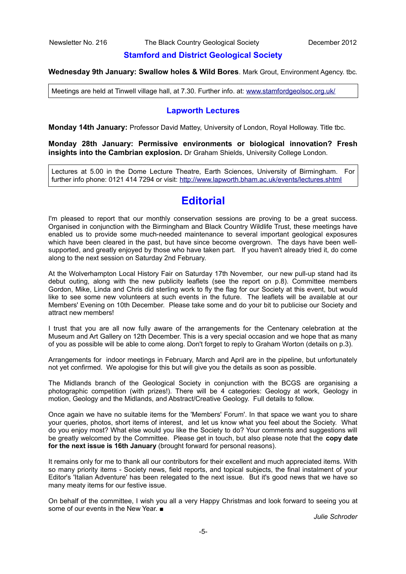### **Stamford and District Geological Society**

**Wednesday 9th January: Swallow holes & Wild Bores**. Mark Grout, Environment Agency. tbc.

Meetings are held at Tinwell village hall, at 7.30. Further info. at: [www.stamfordgeolsoc.org.uk/](http://www.stamfordgeolsoc.org.uk/)

### **Lapworth Lectures**

**Monday 14th January:** Professor David Mattey, University of London, Royal Holloway. Title tbc.

**Monday 28th January: Permissive environments or biological innovation? Fresh insights into the Cambrian explosion.** Dr Graham Shields, University College London.

Lectures at 5.00 in the Dome Lecture Theatre, Earth Sciences, University of Birmingham. For further info phone: 0121 414 7294 or visit:<http://www.lapworth.bham.ac.uk/events/lectures.shtml>

# **Editorial**

I'm pleased to report that our monthly conservation sessions are proving to be a great success. Organised in conjunction with the Birmingham and Black Country Wildlife Trust, these meetings have enabled us to provide some much-needed maintenance to several important geological exposures which have been cleared in the past, but have since become overgrown. The days have been wellsupported, and greatly enjoyed by those who have taken part. If you haven't already tried it, do come along to the next session on Saturday 2nd February.

At the Wolverhampton Local History Fair on Saturday 17th November, our new pull-up stand had its debut outing, along with the new publicity leaflets (see the report on p.8). Committee members Gordon, Mike, Linda and Chris did sterling work to fly the flag for our Society at this event, but would like to see some new volunteers at such events in the future. The leaflets will be available at our Members' Evening on 10th December. Please take some and do your bit to publicise our Society and attract new members!

I trust that you are all now fully aware of the arrangements for the Centenary celebration at the Museum and Art Gallery on 12th December. This is a very special occasion and we hope that as many of you as possible will be able to come along. Don't forget to reply to Graham Worton (details on p.3).

Arrangements for indoor meetings in February, March and April are in the pipeline, but unfortunately not yet confirmed. We apologise for this but will give you the details as soon as possible.

The Midlands branch of the Geological Society in conjunction with the BCGS are organising a photographic competition (with prizes!). There will be 4 categories: Geology at work, Geology in motion, Geology and the Midlands, and Abstract/Creative Geology. Full details to follow.

Once again we have no suitable items for the 'Members' Forum'. In that space we want you to share your queries, photos, short items of interest, and let us know what you feel about the Society. What do you enjoy most? What else would you like the Society to do? Your comments and suggestions will be greatly welcomed by the Committee. Please get in touch, but also please note that the **copy date for the next issue is 16th January** (brought forward for personal reasons).

It remains only for me to thank all our contributors for their excellent and much appreciated items. With so many priority items - Society news, field reports, and topical subjects, the final instalment of your Editor's 'Italian Adventure' has been relegated to the next issue. But it's good news that we have so many meaty items for our festive issue.

On behalf of the committee, I wish you all a very Happy Christmas and look forward to seeing you at some of our events in the New Year. ■

*Julie Schroder*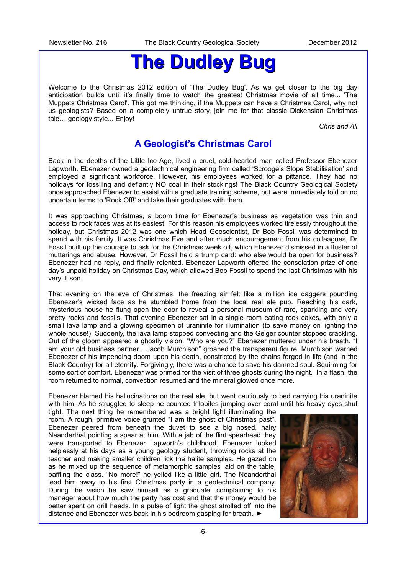# **The Dudley Bug**

Welcome to the Christmas 2012 edition of 'The Dudley Bug'. As we get closer to the big day anticipation builds until it's finally time to watch the greatest Christmas movie of all time... 'The Muppets Christmas Carol'. This got me thinking, if the Muppets can have a Christmas Carol, why not us geologists? Based on a completely untrue story, join me for that classic Dickensian Christmas tale… geology style... Enjoy!

*Chris and Ali*

# **A Geologist's Christmas Carol**

Back in the depths of the Little Ice Age, lived a cruel, cold-hearted man called Professor Ebenezer Lapworth. Ebenezer owned a geotechnical engineering firm called 'Scrooge's Slope Stabilisation' and employed a significant workforce. However, his employees worked for a pittance. They had no holidays for fossiling and defiantly NO coal in their stockings! The Black Country Geological Society once approached Ebenezer to assist with a graduate training scheme, but were immediately told on no uncertain terms to 'Rock Off!' and take their graduates with them.

It was approaching Christmas, a boom time for Ebenezer's business as vegetation was thin and access to rock faces was at its easiest. For this reason his employees worked tirelessly throughout the holiday, but Christmas 2012 was one which Head Geoscientist, Dr Bob Fossil was determined to spend with his family. It was Christmas Eve and after much encouragement from his colleagues, Dr Fossil built up the courage to ask for the Christmas week off, which Ebenezer dismissed in a fluster of mutterings and abuse. However, Dr Fossil held a trump card: who else would be open for business? Ebenezer had no reply, and finally relented. Ebenezer Lapworth offered the consolation prize of one day's unpaid holiday on Christmas Day, which allowed Bob Fossil to spend the last Christmas with his very ill son.

That evening on the eve of Christmas, the freezing air felt like a million ice daggers pounding Ebenezer's wicked face as he stumbled home from the local real ale pub. Reaching his dark, mysterious house he flung open the door to reveal a personal museum of rare, sparkling and very pretty rocks and fossils. That evening Ebenezer sat in a single room eating rock cakes, with only a small lava lamp and a glowing specimen of uraninite for illumination (to save money on lighting the whole house!). Suddenly, the lava lamp stopped convecting and the Geiger counter stopped crackling. Out of the gloom appeared a ghostly vision. "Who are you?" Ebenezer muttered under his breath. "I am your old business partner... Jacob Murchison" groaned the transparent figure. Murchison warned Ebenezer of his impending doom upon his death, constricted by the chains forged in life (and in the Black Country) for all eternity. Forgivingly, there was a chance to save his damned soul. Squirming for some sort of comfort, Ebenezer was primed for the visit of three ghosts during the night. In a flash, the room returned to normal, convection resumed and the mineral glowed once more.

Ebenezer blamed his hallucinations on the real ale, but went cautiously to bed carrying his uraninite with him. As he struggled to sleep he counted trilobites jumping over coral until his heavy eyes shut

tight. The next thing he remembered was a bright light illuminating the room. A rough, primitive voice grunted "I am the ghost of Christmas past". Ebenezer peered from beneath the duvet to see a big nosed, hairy Neanderthal pointing a spear at him. With a jab of the flint spearhead they were transported to Ebenezer Lapworth's childhood. Ebenezer looked helplessly at his days as a young geology student, throwing rocks at the teacher and making smaller children lick the halite samples. He gazed on as he mixed up the sequence of metamorphic samples laid on the table, baffling the class. "No more!" he yelled like a little girl. The Neanderthal lead him away to his first Christmas party in a geotechnical company. During the vision he saw himself as a graduate, complaining to his manager about how much the party has cost and that the money would be better spent on drill heads. In a pulse of light the ghost strolled off into the distance and Ebenezer was back in his bedroom gasping for breath. ►

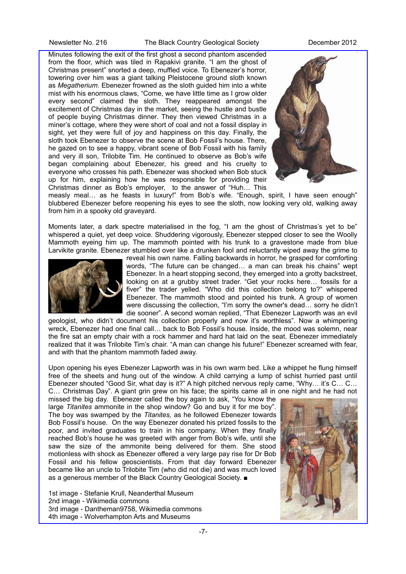### Newsletter No. 216 The Black Country Geological Society **December 2012**

Minutes following the exit of the first ghost a second phantom ascended from the floor, which was tiled in Rapakivi granite. "I am the ghost of Christmas present" snorted a deep, muffled voice. To Ebenezer's horror, towering over him was a giant talking Pleistocene ground sloth known as *Megatherium*. Ebenezer frowned as the sloth guided him into a white mist with his enormous claws, "Come, we have little time as I grow older every second" claimed the sloth. They reappeared amongst the excitement of Christmas day in the market, seeing the hustle and bustle of people buying Christmas dinner. They then viewed Christmas in a miner's cottage, where they were short of coal and not a fossil display in sight, yet they were full of joy and happiness on this day. Finally, the sloth took Ebenezer to observe the scene at Bob Fossil's house. There, he gazed on to see a happy, vibrant scene of Bob Fossil with his family and very ill son, Trilobite Tim. He continued to observe as Bob's wife began complaining about Ebenezer, his greed and his cruelty to everyone who crosses his path. Ebenezer was shocked when Bob stuck up for him, explaining how he was responsible for providing their Christmas dinner as Bob's employer, to the answer of "Huh… This



measly meal… as he feasts in luxury!" from Bob's wife. "Enough, spirit, I have seen enough" blubbered Ebenezer before reopening his eyes to see the sloth, now looking very old, walking away from him in a spooky old graveyard.

Moments later, a dark spectre materialised in the fog, "I am the ghost of Christmas's yet to be" whispered a quiet, yet deep voice. Shuddering vigorously, Ebenezer stepped closer to see the Woolly Mammoth eyeing him up. The mammoth pointed with his trunk to a gravestone made from blue Larvikite granite. Ebenezer stumbled over like a drunken fool and reluctantly wiped away the grime to



reveal his own name. Falling backwards in horror, he grasped for comforting words, "The future can be changed… a man can break his chains" wept Ebenezer. In a heart stopping second, they emerged into a grotty backstreet, looking on at a grubby street trader. "Get your rocks here… fossils for a fiver" the trader yelled. "Who did this collection belong to?" whispered Ebenezer. The mammoth stood and pointed his trunk. A group of women were discussing the collection, "I'm sorry the owner's dead… sorry he didn't die sooner". A second woman replied, "That Ebenezer Lapworth was an evil

geologist, who didn't document his collection properly and now it's worthless". Now a whimpering wreck, Ebenezer had one final call… back to Bob Fossil's house. Inside, the mood was solemn, near the fire sat an empty chair with a rock hammer and hard hat laid on the seat. Ebenezer immediately realized that it was Trilobite Tim's chair. "A man can change his future!" Ebenezer screamed with fear, and with that the phantom mammoth faded away.

Upon opening his eyes Ebenezer Lapworth was in his own warm bed. Like a whippet he flung himself free of the sheets and hung out of the window. A child carrying a lump of schist hurried past until Ebenezer shouted "Good Sir, what day is it?" A high pitched nervous reply came, "Why… it's C… C… C… Christmas Day". A giant grin grew on his face; the spirits came all in one night and he had not

missed the big day. Ebenezer called the boy again to ask, "You know the large *Titanites* ammonite in the shop window? Go and buy it for me boy". The boy was swamped by the *Titanites,* as he followed Ebenezer towards Bob Fossil's house. On the way Ebenezer donated his prized fossils to the poor, and invited graduates to train in his company. When they finally reached Bob's house he was greeted with anger from Bob's wife, until she saw the size of the ammonite being delivered for them. She stood motionless with shock as Ebenezer offered a very large pay rise for Dr Bob Fossil and his fellow geoscientists. From that day forward Ebenezer became like an uncle to Trilobite Tim (who did not die) and was much loved as a generous member of the Black Country Geological Society. ■

1st image - Stefanie Krull, Neanderthal Museum 2nd image - Wikimedia commons 3rd image - Dantheman9758, Wikimedia commons 4th image - Wolverhampton Arts and Museums

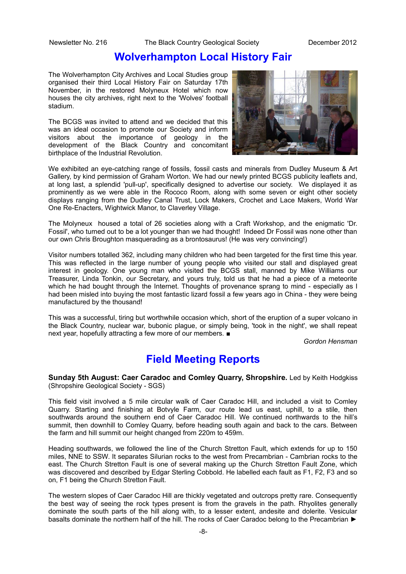## **Wolverhampton Local History Fair**

The Wolverhampton City Archives and Local Studies group organised their third Local History Fair on Saturday 17th November, in the restored Molyneux Hotel which now houses the city archives, right next to the 'Wolves' football stadium.

The BCGS was invited to attend and we decided that this was an ideal occasion to promote our Society and inform visitors about the importance of geology in the development of the Black Country and concomitant birthplace of the Industrial Revolution.



We exhibited an eye-catching range of fossils, fossil casts and minerals from Dudley Museum & Art Gallery, by kind permission of Graham Worton. We had our newly printed BCGS publicity leaflets and, at long last, a splendid 'pull-up', specifically designed to advertise our society. We displayed it as prominently as we were able in the Rococo Room, along with some seven or eight other society displays ranging from the Dudley Canal Trust, Lock Makers, Crochet and Lace Makers, World War One Re-Enacters, Wightwick Manor, to Claverley Village.

The Molyneux housed a total of 26 societies along with a Craft Workshop, and the enigmatic 'Dr. Fossil', who turned out to be a lot younger than we had thought! Indeed Dr Fossil was none other than our own Chris Broughton masquerading as a brontosaurus! (He was very convincing!)

Visitor numbers totalled 362, including many children who had been targeted for the first time this year. This was reflected in the large number of young people who visited our stall and displayed great interest in geology. One young man who visited the BCGS stall, manned by Mike Williams our Treasurer, Linda Tonkin, our Secretary, and yours truly, told us that he had a piece of a meteorite which he had bought through the Internet. Thoughts of provenance sprang to mind - especially as I had been misled into buying the most fantastic lizard fossil a few years ago in China - they were being manufactured by the thousand!

This was a successful, tiring but worthwhile occasion which, short of the eruption of a super volcano in the Black Country, nuclear war, bubonic plague, or simply being, 'took in the night', we shall repeat next year, hopefully attracting a few more of our members. ■

*Gordon Hensman*

# **Field Meeting Reports**

**Sunday 5th August: Caer Caradoc and Comley Quarry, Shropshire.** Led by Keith Hodgkiss (Shropshire Geological Society - SGS)

This field visit involved a 5 mile circular walk of Caer Caradoc Hill, and included a visit to Comley Quarry. Starting and finishing at Botvyle Farm, our route lead us east, uphill, to a stile, then southwards around the southern end of Caer Caradoc Hill. We continued northwards to the hill's summit, then downhill to Comley Quarry, before heading south again and back to the cars. Between the farm and hill summit our height changed from 220m to 459m.

Heading southwards, we followed the line of the Church Stretton Fault, which extends for up to 150 miles, NNE to SSW. It separates Silurian rocks to the west from Precambrian - Cambrian rocks to the east. The Church Stretton Fault is one of several making up the Church Stretton Fault Zone, which was discovered and described by Edgar Sterling Cobbold. He labelled each fault as F1, F2, F3 and so on, F1 being the Church Stretton Fault.

The western slopes of Caer Caradoc Hill are thickly vegetated and outcrops pretty rare. Consequently the best way of seeing the rock types present is from the gravels in the path. Rhyolites generally dominate the south parts of the hill along with, to a lesser extent, andesite and dolerite. Vesicular basalts dominate the northern half of the hill. The rocks of Caer Caradoc belong to the Precambrian ►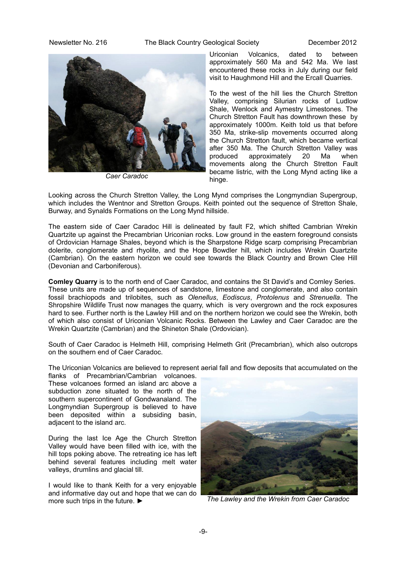### Newsletter No. 216 The Black Country Geological Society **December 2012**



*Caer Caradoc*

Uriconian Volcanics, dated to between approximately 560 Ma and 542 Ma. We last encountered these rocks in July during our field visit to Haughmond Hill and the Ercall Quarries.

To the west of the hill lies the Church Stretton Valley, comprising Silurian rocks of Ludlow Shale, Wenlock and Aymestry Limestones. The Church Stretton Fault has downthrown these by approximately 1000m. Keith told us that before 350 Ma, strike-slip movements occurred along the Church Stretton fault, which became vertical after 350 Ma. The Church Stretton Valley was produced approximately 20 Ma when movements along the Church Stretton Fault became listric, with the Long Mynd acting like a hinge.

Looking across the Church Stretton Valley, the Long Mynd comprises the Longmyndian Supergroup, which includes the Wentnor and Stretton Groups. Keith pointed out the sequence of Stretton Shale. Burway, and Synalds Formations on the Long Mynd hillside.

The eastern side of Caer Caradoc Hill is delineated by fault F2, which shifted Cambrian Wrekin Quartzite up against the Precambrian Uriconian rocks. Low ground in the eastern foreground consists of Ordovician Harnage Shales, beyond which is the Sharpstone Ridge scarp comprising Precambrian dolerite, conglomerate and rhyolite, and the Hope Bowdler hill, which includes Wrekin Quartzite (Cambrian). On the eastern horizon we could see towards the Black Country and Brown Clee Hill (Devonian and Carboniferous).

**Comley Quarry** is to the north end of Caer Caradoc, and contains the St David's and Comley Series. These units are made up of sequences of sandstone, limestone and conglomerate, and also contain fossil brachiopods and trilobites, such as *Olenellus*, *Eodiscus*, *Protolenus* and *Strenuella*. The Shropshire Wildlife Trust now manages the quarry, which is very overgrown and the rock exposures hard to see. Further north is the Lawley Hill and on the northern horizon we could see the Wrekin, both of which also consist of Uriconian Volcanic Rocks. Between the Lawley and Caer Caradoc are the Wrekin Quartzite (Cambrian) and the Shineton Shale (Ordovician).

South of Caer Caradoc is Helmeth Hill, comprising Helmeth Grit (Precambrian), which also outcrops on the southern end of Caer Caradoc.

The Uriconian Volcanics are believed to represent aerial fall and flow deposits that accumulated on the

flanks of Precambrian/Cambrian volcanoes. These volcanoes formed an island arc above a subduction zone situated to the north of the southern supercontinent of Gondwanaland. The Longmyndian Supergroup is believed to have been deposited within a subsiding basin, adjacent to the island arc.

During the last Ice Age the Church Stretton Valley would have been filled with ice, with the hill tops poking above. The retreating ice has left behind several features including melt water valleys, drumlins and glacial till.

I would like to thank Keith for a very enjoyable and informative day out and hope that we can do more such trips in the future. ►



*The Lawley and the Wrekin from Caer Caradoc*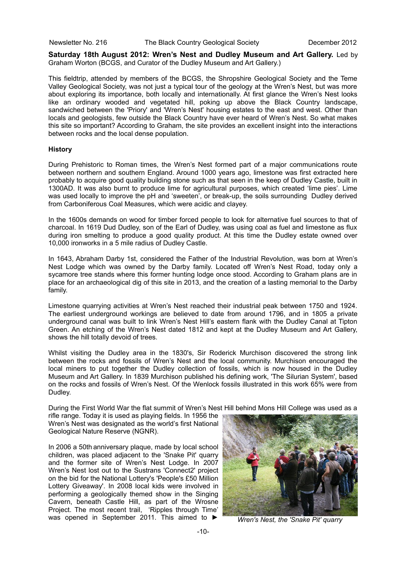**Saturday 18th August 2012: Wren's Nest and Dudley Museum and Art Gallery.** Led by Graham Worton (BCGS, and Curator of the Dudley Museum and Art Gallery.)

This fieldtrip, attended by members of the BCGS, the Shropshire Geological Society and the Teme Valley Geological Society, was not just a typical tour of the geology at the Wren's Nest, but was more about exploring its importance, both locally and internationally. At first glance the Wren's Nest looks like an ordinary wooded and vegetated hill, poking up above the Black Country landscape, sandwiched between the 'Priory' and 'Wren's Nest' housing estates to the east and west. Other than locals and geologists, few outside the Black Country have ever heard of Wren's Nest. So what makes this site so important? According to Graham, the site provides an excellent insight into the interactions between rocks and the local dense population.

### **History**

During Prehistoric to Roman times, the Wren's Nest formed part of a major communications route between northern and southern England. Around 1000 years ago, limestone was first extracted here probably to acquire good quality building stone such as that seen in the keep of Dudley Castle, built in 1300AD. It was also burnt to produce lime for agricultural purposes, which created 'lime pies'. Lime was used locally to improve the pH and 'sweeten', or break-up, the soils surrounding Dudley derived from Carboniferous Coal Measures, which were acidic and clayey.

In the 1600s demands on wood for timber forced people to look for alternative fuel sources to that of charcoal. In 1619 Dud Dudley, son of the Earl of Dudley, was using coal as fuel and limestone as flux during iron smelting to produce a good quality product. At this time the Dudley estate owned over 10,000 ironworks in a 5 mile radius of Dudley Castle.

In 1643, Abraham Darby 1st, considered the Father of the Industrial Revolution, was born at Wren's Nest Lodge which was owned by the Darby family. Located off Wren's Nest Road, today only a sycamore tree stands where this former hunting lodge once stood. According to Graham plans are in place for an archaeological dig of this site in 2013, and the creation of a lasting memorial to the Darby family.

Limestone quarrying activities at Wren's Nest reached their industrial peak between 1750 and 1924. The earliest underground workings are believed to date from around 1796, and in 1805 a private underground canal was built to link Wren's Nest Hill's eastern flank with the Dudley Canal at Tipton Green. An etching of the Wren's Nest dated 1812 and kept at the Dudley Museum and Art Gallery, shows the hill totally devoid of trees.

Whilst visiting the Dudley area in the 1830's, Sir Roderick Murchison discovered the strong link between the rocks and fossils of Wren's Nest and the local community. Murchison encouraged the local miners to put together the Dudley collection of fossils, which is now housed in the Dudley Museum and Art Gallery. In 1839 Murchison published his defining work, 'The Silurian System', based on the rocks and fossils of Wren's Nest. Of the Wenlock fossils illustrated in this work 65% were from Dudley.

During the First World War the flat summit of Wren's Nest Hill behind Mons Hill College was used as a

rifle range. Today it is used as playing fields. In 1956 the Wren's Nest was designated as the world's first National Geological Nature Reserve (NGNR).

In 2006 a 50th anniversary plaque, made by local school children, was placed adjacent to the 'Snake Pit' quarry and the former site of Wren's Nest Lodge. In 2007 Wren's Nest lost out to the Sustrans 'Connect2' project on the bid for the National Lottery's 'People's £50 Million Lottery Giveaway'. In 2008 local kids were involved in performing a geologically themed show in the Singing Cavern, beneath Castle Hill, as part of the Wrosne Project. The most recent trail, 'Ripples through Time' was opened in September 2011. This aimed to ►



*Wren's Nest, the 'Snake Pit' quarry*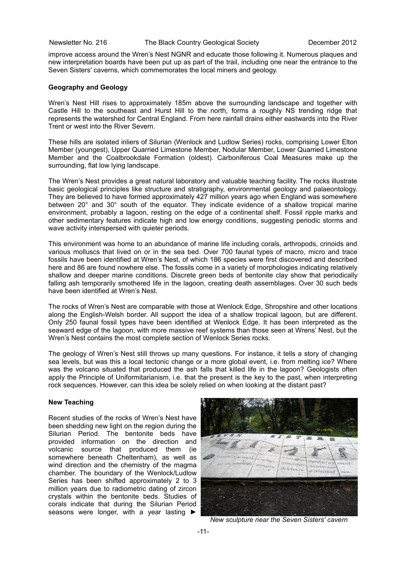improve access around the Wren's Nest NGNR and educate those following it. Numerous plaques and new interpretation boards have been put up as part of the trail, including one near the entrance to the Seven Sisters' caverns, which commemorates the local miners and geology.

### **Geography and Geology**

Wren's Nest Hill rises to approximately 185m above the surrounding landscape and together with Castle Hill to the southeast and Hurst Hill to the north, forms a roughly NS trending ridge that represents the watershed for Central England. From here rainfall drains either eastwards into the River Trent or west into the River Severn.

These hills are isolated inliers of Silurian (Wenlock and Ludlow Series) rocks, comprising Lower Elton Member (youngest), Upper Quarried Limestone Member, Nodular Member, Lower Quarried Limestone Member and the Coalbrookdale Formation (oldest). Carboniferous Coal Measures make up the surrounding, flat low lying landscape.

The Wren's Nest provides a great natural laboratory and valuable teaching facility. The rocks illustrate basic geological principles like structure and stratigraphy, environmental geology and palaeontology. They are believed to have formed approximately 427 million years ago when England was somewhere between 20° and 30° south of the equator. They indicate evidence of a shallow tropical marine environment, probably a lagoon, resting on the edge of a continental shelf. Fossil ripple marks and other sedimentary features indicate high and low energy conditions, suggesting periodic storms and wave activity interspersed with quieter periods.

This environment was home to an abundance of marine life including corals, arthropods, crinoids and various molluscs that lived on or in the sea bed. Over 700 faunal types of macro, micro and trace fossils have been identified at Wren's Nest, of which 186 species were first discovered and described here and 86 are found nowhere else. The fossils come in a variety of morphologies indicating relatively shallow and deeper marine conditions. Discrete green beds of bentonite clay show that periodically falling ash temporarily smothered life in the lagoon, creating death assemblages. Over 30 such beds have been identified at Wren's Nest.

The rocks of Wren's Nest are comparable with those at Wenlock Edge, Shropshire and other locations along the English-Welsh border. All support the idea of a shallow tropical lagoon, but are different. Only 250 faunal fossil types have been identified at Wenlock Edge. It has been interpreted as the seaward edge of the lagoon, with more massive reef systems than those seen at Wrens' Nest, but the Wren's Nest contains the most complete section of Wenlock Series rocks.

The geology of Wren's Nest still throws up many questions. For instance, it tells a story of changing sea levels, but was this a local tectonic change or a more global event, i.e. from melting ice? Where was the volcano situated that produced the ash falls that killed life in the lagoon? Geologists often apply the Principle of Uniformitarianism, i.e. that the present is the key to the past, when interpreting rock sequences. However, can this idea be solely relied on when looking at the distant past?

### **New Teaching**

Recent studies of the rocks of Wren's Nest have been shedding new light on the region during the Silurian Period. The bentonite beds have provided information on the direction and volcanic source that produced them (ie somewhere beneath Cheltenham), as well as wind direction and the chemistry of the magma chamber. The boundary of the Wenlock/Ludlow Series has been shifted approximately 2 to 3 million years due to radiometric dating of zircon crystals within the bentonite beds. Studies of corals indicate that during the Silurian Period seasons were longer, with a year lasting ►



*New sculpture near the Seven Sisters' cavern*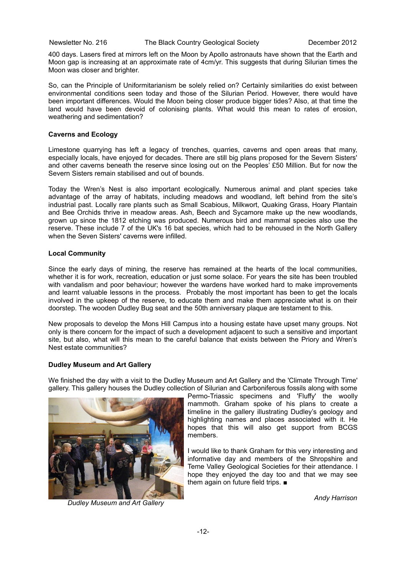400 days. Lasers fired at mirrors left on the Moon by Apollo astronauts have shown that the Earth and Moon gap is increasing at an approximate rate of 4cm/yr. This suggests that during Silurian times the Moon was closer and brighter.

So, can the Principle of Uniformitarianism be solely relied on? Certainly similarities do exist between environmental conditions seen today and those of the Silurian Period. However, there would have been important differences. Would the Moon being closer produce bigger tides? Also, at that time the land would have been devoid of colonising plants. What would this mean to rates of erosion, weathering and sedimentation?

### **Caverns and Ecology**

Limestone quarrying has left a legacy of trenches, quarries, caverns and open areas that many, especially locals, have enjoyed for decades. There are still big plans proposed for the Severn Sisters' and other caverns beneath the reserve since losing out on the Peoples' £50 Million. But for now the Severn Sisters remain stabilised and out of bounds.

Today the Wren's Nest is also important ecologically. Numerous animal and plant species take advantage of the array of habitats, including meadows and woodland, left behind from the site's industrial past. Locally rare plants such as Small Scabious, Milkwort, Quaking Grass, Hoary Plantain and Bee Orchids thrive in meadow areas. Ash, Beech and Sycamore make up the new woodlands, grown up since the 1812 etching was produced. Numerous bird and mammal species also use the reserve. These include 7 of the UK's 16 bat species, which had to be rehoused in the North Gallery when the Seven Sisters' caverns were infilled.

### **Local Community**

Since the early days of mining, the reserve has remained at the hearts of the local communities, whether it is for work, recreation, education or just some solace. For years the site has been troubled with vandalism and poor behaviour; however the wardens have worked hard to make improvements and learnt valuable lessons in the process. Probably the most important has been to get the locals involved in the upkeep of the reserve, to educate them and make them appreciate what is on their doorstep. The wooden Dudley Bug seat and the 50th anniversary plaque are testament to this.

New proposals to develop the Mons Hill Campus into a housing estate have upset many groups. Not only is there concern for the impact of such a development adjacent to such a sensitive and important site, but also, what will this mean to the careful balance that exists between the Priory and Wren's Nest estate communities?

### **Dudley Museum and Art Gallery**

We finished the day with a visit to the Dudley Museum and Art Gallery and the 'Climate Through Time' gallery. This gallery houses the Dudley collection of Silurian and Carboniferous fossils along with some



*Dudley Museum and Art Gallery*

Permo-Triassic specimens and 'Fluffy' the woolly mammoth. Graham spoke of his plans to create a timeline in the gallery illustrating Dudley's geology and highlighting names and places associated with it. He hopes that this will also get support from BCGS members.

I would like to thank Graham for this very interesting and informative day and members of the Shropshire and Teme Valley Geological Societies for their attendance. I hope they enjoyed the day too and that we may see them again on future field trips. ■

*Andy Harrison*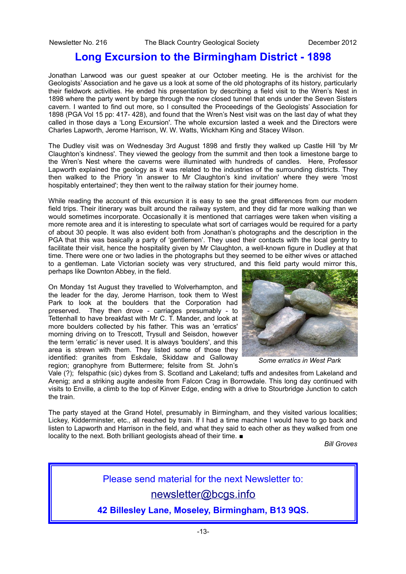# **Long Excursion to the Birmingham District - 1898**

Jonathan Larwood was our guest speaker at our October meeting. He is the archivist for the Geologists' Association and he gave us a look at some of the old photographs of its history, particularly their fieldwork activities. He ended his presentation by describing a field visit to the Wren's Nest in 1898 where the party went by barge through the now closed tunnel that ends under the Seven Sisters cavern. I wanted to find out more, so I consulted the Proceedings of the Geologists' Association for 1898 (PGA Vol 15 pp: 417- 428), and found that the Wren's Nest visit was on the last day of what they called in those days a 'Long Excursion'. The whole excursion lasted a week and the Directors were Charles Lapworth, Jerome Harrison, W. W. Watts, Wickham King and Stacey Wilson.

The Dudley visit was on Wednesday 3rd August 1898 and firstly they walked up Castle Hill 'by Mr Claughton's kindness'. They viewed the geology from the summit and then took a limestone barge to the Wren's Nest where the caverns were illuminated with hundreds of candles. Here, Professor Lapworth explained the geology as it was related to the industries of the surrounding districts. They then walked to the Priory 'in answer to Mr Claughton's kind invitation' where they were 'most hospitably entertained'; they then went to the railway station for their journey home.

While reading the account of this excursion it is easy to see the great differences from our modern field trips. Their itinerary was built around the railway system, and they did far more walking than we would sometimes incorporate. Occasionally it is mentioned that carriages were taken when visiting a more remote area and it is interesting to speculate what sort of carriages would be required for a party of about 30 people. It was also evident both from Jonathan's photographs and the description in the PGA that this was basically a party of 'gentlemen'. They used their contacts with the local gentry to facilitate their visit, hence the hospitality given by Mr Claughton, a well-known figure in Dudley at that time. There were one or two ladies in the photographs but they seemed to be either wives or attached to a gentleman. Late Victorian society was very structured, and this field party would mirror this, perhaps like Downton Abbey, in the field.

On Monday 1st August they travelled to Wolverhampton, and the leader for the day, Jerome Harrison, took them to West Park to look at the boulders that the Corporation had preserved. They then drove - carriages presumably - to Tettenhall to have breakfast with Mr C. T. Mander, and look at more boulders collected by his father. This was an 'erratics' morning driving on to Trescott, Trysull and Seisdon, however the term 'erratic' is never used. It is always 'boulders', and this area is strewn with them. They listed some of those they identified: granites from Eskdale, Skiddaw and Galloway region; granophyre from Buttermere; felsite from St. John's



*Some erratics in West Park*

Vale (?); felspathic (sic) dykes from S. Scotland and Lakeland; tuffs and andesites from Lakeland and Arenig; and a striking augite andesite from Falcon Crag in Borrowdale. This long day continued with visits to Enville, a climb to the top of Kinver Edge, ending with a drive to Stourbridge Junction to catch the train.

The party stayed at the Grand Hotel, presumably in Birmingham, and they visited various localities; Lickey, Kidderminster, etc., all reached by train. If I had a time machine I would have to go back and listen to Lapworth and Harrison in the field, and what they said to each other as they walked from one locality to the next. Both brilliant geologists ahead of their time. ■

*Bill Groves*

# Please send material for the next Newsletter to: [newsletter@bcgs.info](mailto:newsletter@bcgs.info)

**42 Billesley Lane, Moseley, Birmingham, B13 9QS.**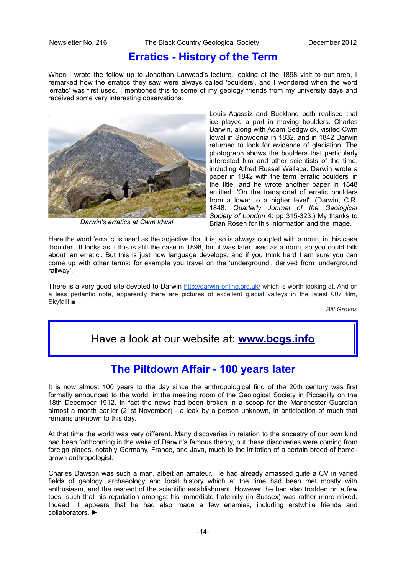## **Erratics - History of the Term**

When I wrote the follow up to Jonathan Larwood's lecture, looking at the 1898 visit to our area, I remarked how the erratics they saw were always called 'boulders', and I wondered when the word 'erratic' was first used. I mentioned this to some of my geology friends from my university days and received some very interesting observations.



*Darwin's erratics at Cwm Idwal*

Louis Agassiz and Buckland both realised that ice played a part in moving boulders. Charles Darwin, along with Adam Sedgwick, visited Cwm Idwal in Snowdonia in 1832, and in 1842 Darwin returned to look for evidence of glaciation. The photograph shows the boulders that particularly interested him and other scientists of the time, including Alfred Russel Wallace. Darwin wrote a paper in 1842 with the term 'erratic boulders' in the title, and he wrote another paper in 1848 entitled: 'On the transportal of erratic boulders from a lower to a higher level'. (Darwin, C.R. 1848. *Quarterly Journal of the Geological Society of London* 4: pp 315-323.) My thanks to Brian Rosen for this information and the image.

Here the word 'erratic' is used as the adjective that it is, so is always coupled with a noun, in this case 'boulder'. It looks as if this is still the case in 1898, but it was later used as a noun, so you could talk about 'an erratic'. But this is just how language develops, and if you think hard I am sure you can come up with other terms; for example you travel on the 'underground', derived from 'underground railway'.

There is a very good site devoted to Darwin <http://darwin-online.org.uk/>which is worth looking at. And on a less pedantic note, apparently there are pictures of excellent glacial valleys in the latest 007 film, Skyfall! ■

*Bill Groves*

# Have a look at our website at: **[www.bcgs.info](http://www.bcgs.info/)**

# **The Piltdown Affair - 100 years later**

It is now almost 100 years to the day since the anthropological find of the 20th century was first formally announced to the world, in the meeting room of the Geological Society in Piccadilly on the 18th December 1912. In fact the news had been broken in a scoop for the Manchester Guardian almost a month earlier (21st November) - a leak by a person unknown, in anticipation of much that remains unknown to this day.

At that time the world was very different. Many discoveries in relation to the ancestry of our own kind had been forthcoming in the wake of Darwin's famous theory, but these discoveries were coming from foreign places, notably Germany, France, and Java, much to the irritation of a certain breed of homegrown anthropologist.

Charles Dawson was such a man, albeit an amateur. He had already amassed quite a CV in varied fields of geology, archaeology and local history which at the time had been met mostly with enthusiasm, and the respect of the scientific establishment. However, he had also trodden on a few toes, such that his reputation amongst his immediate fraternity (in Sussex) was rather more mixed. Indeed, it appears that he had also made a few enemies, including erstwhile friends and collaborators. ►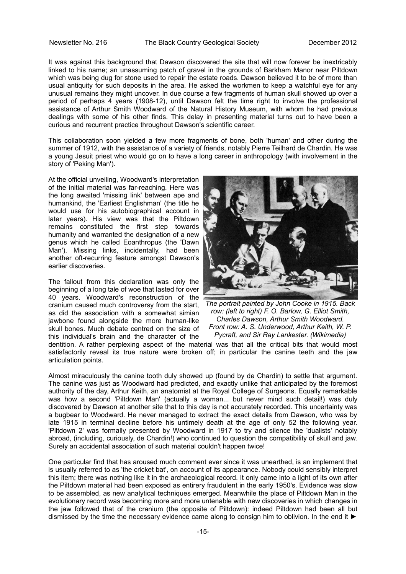It was against this background that Dawson discovered the site that will now forever be inextricably linked to his name; an unassuming patch of gravel in the grounds of Barkham Manor near Piltdown which was being dug for stone used to repair the estate roads. Dawson believed it to be of more than usual antiquity for such deposits in the area. He asked the workmen to keep a watchful eye for any unusual remains they might uncover. In due course a few fragments of human skull showed up over a period of perhaps 4 years (1908-12), until Dawson felt the time right to involve the professional assistance of Arthur Smith Woodward of the Natural History Museum, with whom he had previous dealings with some of his other finds. This delay in presenting material turns out to have been a curious and recurrent practice throughout Dawson's scientific career.

This collaboration soon yielded a few more fragments of bone, both 'human' and other during the summer of 1912, with the assistance of a variety of friends, notably Pierre Teilhard de Chardin. He was a young Jesuit priest who would go on to have a long career in anthropology (with involvement in the story of 'Peking Man').

At the official unveiling, Woodward's interpretation of the initial material was far-reaching. Here was the long awaited 'missing link' between ape and humankind, the 'Earliest Englishman' (the title he would use for his autobiographical account in later years). His view was that the Piltdown remains constituted the first step towards humanity and warranted the designation of a new genus which he called Eoanthropus (the 'Dawn Man'). Missing links, incidentally, had been another oft-recurring feature amongst Dawson's earlier discoveries.

The fallout from this declaration was only the beginning of a long tale of woe that lasted for over 40 years. Woodward's reconstruction of the cranium caused much controversy from the start, as did the association with a somewhat simian jawbone found alongside the more human-like skull bones. Much debate centred on the size of this individual's brain and the character of the



*The portrait painted by John Cooke in 1915. Back row: (left to right) F. O. Barlow, G. Elliot Smith, Charles Dawson, Arthur Smith Woodward. Front row: A. S. Underwood, Arthur Keith, W. P. Pycraft, and Sir Ray Lankester. (Wikimedia)*

dentition. A rather perplexing aspect of the material was that all the critical bits that would most satisfactorily reveal its true nature were broken off; in particular the canine teeth and the jaw articulation points.

Almost miraculously the canine tooth duly showed up (found by de Chardin) to settle that argument. The canine was just as Woodward had predicted, and exactly unlike that anticipated by the foremost authority of the day, Arthur Keith, an anatomist at the Royal College of Surgeons. Equally remarkable was how a second 'Piltdown Man' (actually a woman... but never mind such detail!) was duly discovered by Dawson at another site that to this day is not accurately recorded. This uncertainty was a bugbear to Woodward. He never managed to extract the exact details from Dawson, who was by late 1915 in terminal decline before his untimely death at the age of only 52 the following year. 'Piltdown 2' was formally presented by Woodward in 1917 to try and silence the 'dualists' notably abroad, (including, curiously, de Chardin!) who continued to question the compatibility of skull and jaw. Surely an accidental association of such material couldn't happen twice!

One particular find that has aroused much comment ever since it was unearthed, is an implement that is usually referred to as 'the cricket bat', on account of its appearance. Nobody could sensibly interpret this item; there was nothing like it in the archaeological record. It only came into a light of its own after the Piltdown material had been exposed as entirery fraudulent in the early 1950's. Evidence was slow to be assembled, as new analytical techniques emerged. Meanwhile the place of Piltdown Man in the evolutionary record was becoming more and more untenable with new discoveries in which changes in the jaw followed that of the cranium (the opposite of Piltdown): indeed Piltdown had been all but dismissed by the time the necessary evidence came along to consign him to oblivion. In the end it ►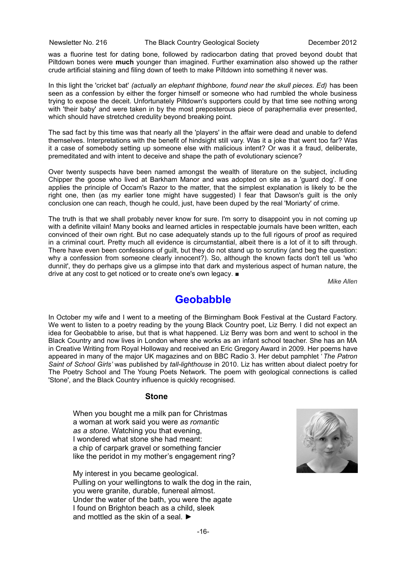was a fluorine test for dating bone, followed by radiocarbon dating that proved beyond doubt that Piltdown bones were **much** younger than imagined. Further examination also showed up the rather crude artificial staining and filing down of teeth to make Piltdown into something it never was.

In this light the 'cricket bat' *(actually an elephant thighbone, found near the skull pieces. Ed)* has been seen as a confession by either the forger himself or someone who had rumbled the whole business trying to expose the deceit. Unfortunately Piltdown's supporters could by that time see nothing wrong with 'their baby' and were taken in by the most preposterous piece of paraphernalia ever presented, which should have stretched credulity beyond breaking point.

The sad fact by this time was that nearly all the 'players' in the affair were dead and unable to defend themselves. Interpretations with the benefit of hindsight still vary. Was it a joke that went too far? Was it a case of somebody setting up someone else with malicious intent? Or was it a fraud, deliberate, premeditated and with intent to deceive and shape the path of evolutionary science?

Over twenty suspects have been named amongst the wealth of literature on the subject, including Chipper the goose who lived at Barkham Manor and was adopted on site as a 'guard dog'. If one applies the principle of Occam's Razor to the matter, that the simplest explanation is likely to be the right one, then (as my earlier tone might have suggested) I fear that Dawson's guilt is the only conclusion one can reach, though he could, just, have been duped by the real 'Moriarty' of crime.

The truth is that we shall probably never know for sure. I'm sorry to disappoint you in not coming up with a definite villain! Many books and learned articles in respectable journals have been written, each convinced of their own right. But no case adequately stands up to the full rigours of proof as required in a criminal court. Pretty much all evidence is circumstantial, albeit there is a lot of it to sift through. There have even been confessions of guilt, but they do not stand up to scrutiny (and beg the question: why a confession from someone clearly innocent?). So, although the known facts don't tell us 'who dunnit', they do perhaps give us a glimpse into that dark and mysterious aspect of human nature, the drive at any cost to get noticed or to create one's own legacy. ■

*Mike Allen*

# **Geobabble**

In October my wife and I went to a meeting of the Birmingham Book Festival at the Custard Factory. We went to listen to a poetry reading by the young Black Country poet. Liz Berry. I did not expect an idea for Geobabble to arise, but that is what happened. Liz Berry was born and went to school in the Black Country and now lives in London where she works as an infant school teacher. She has an MA in Creative Writing from Royal Holloway and received an Eric Gregory Award in 2009. Her poems have appeared in many of the major UK magazines and on BBC Radio 3. Her debut pamphlet '*The Patron Saint of School Girls'* was published by *tall-lighthouse* in 2010. Liz has written about dialect poetry for The Poetry School and The Young Poets Network. The poem with geological connections is called 'Stone', and the Black Country influence is quickly recognised.

### **Stone**

When you bought me a milk pan for Christmas a woman at work said you were *as romantic as a stone*. Watching you that evening, I wondered what stone she had meant: a chip of carpark gravel or something fancier like the peridot in my mother's engagement ring?

My interest in you became geological. Pulling on your wellingtons to walk the dog in the rain, you were granite, durable, funereal almost. Under the water of the bath, you were the agate I found on Brighton beach as a child, sleek and mottled as the skin of a seal. ►